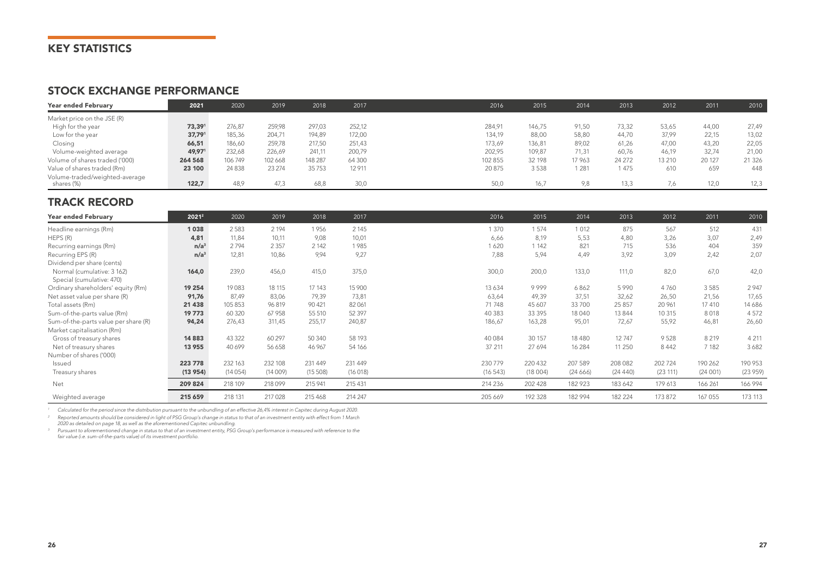## KEY STATISTICS

#### STOCK EXCHANGE PERFORMANCE

| Year ended February                          | 2021    | 2020    | 2019   | 2018    | 2017   | 2016    | 2015   | 2014   | 2013    | 2012   | 2011   | 2010    |
|----------------------------------------------|---------|---------|--------|---------|--------|---------|--------|--------|---------|--------|--------|---------|
| Market price on the JSE (R)                  |         |         |        |         |        |         |        |        |         |        |        |         |
| High for the year                            | 73,391  | 276.87  | 259,98 | 297,03  | 252,12 | 284,91  | 146.75 | 91,50  | 73,32   | 53,65  | 44.00  | 27,49   |
| Low for the year                             | 37,791  | 185,36  | 204,71 | 194,89  | 172,00 | 134,19  | 88,00  | 58,80  | 44,70   | 37,99  | 22.15  | 13,02   |
| Closing                                      | 66,51   | 186.60  | 259.78 | 217,50  | 251,43 | 173,69  | 136.81 | 89,02  | 61,26   | 47.00  | 43.20  | 22,05   |
| Volume-weighted average                      | 49,971  | 232,68  | 226,69 | 241,11  | 200,79 | 202,95  | 109,87 | 71,31  | 60,76   | 46,19  | 32.74  | 21,00   |
| Volume of shares traded ('000)               | 264 568 | 106749  | 102668 | 148 287 | 64 300 | 102 855 | 32 198 | 17 963 | 24 27 2 | 13 210 | 20 127 | 21 3 26 |
| Value of shares traded (Rm)                  | 23 100  | 24 8 38 | 23 274 | 35753   | 12911  | 20875   | 3538   | 1 281  | 1 475   | 610    | 659    | 448     |
| Volume-traded/weighted-average<br>shares (%) | 122.7   | 48,9    | 47,3   | 68,8    | 30,0   | 50,0    | 16,7   | 9,8    | 13,3    | 7,6    | 12,0   | 12,3    |

### TRACK RECORD

| <b>Year ended February</b>           | 20212            | 2020    | 2019    | 2018    | 2017    | 2016    | 2015    | 2014    | 2013     | 2012     | 2011    | 2010    |
|--------------------------------------|------------------|---------|---------|---------|---------|---------|---------|---------|----------|----------|---------|---------|
| Headline earnings (Rm)               | 1038             | 2583    | 2 1 9 4 | 1956    | 2 1 4 5 | 1 370   | 1574    | 1 0 1 2 | 875      | 567      | 512     | 431     |
| HEPS(R)                              | 4,81             | 11.84   | 10,11   | 9,08    | 10,01   | 6,66    | 8,19    | 5,53    | 4,80     | 3,26     | 3.07    | 2,49    |
| Recurring earnings (Rm)              | n/a <sup>3</sup> | 2794    | 2 3 5 7 | 2 142   | 1985    | 1620    | 1 142   | 821     | 715      | 536      | 404     | 359     |
| Recurring EPS (R)                    | n/a <sup>3</sup> | 12,81   | 10,86   | 9,94    | 9,27    | 7,88    | 5,94    | 4,49    | 3,92     | 3,09     | 2,42    | 2,07    |
| Dividend per share (cents)           |                  |         |         |         |         |         |         |         |          |          |         |         |
| Normal (cumulative: 3 162)           | 164,0            | 239,0   | 456,0   | 415,0   | 375,0   | 300,0   | 200,0   | 133,0   | 111,0    | 82,0     | 67,0    | 42,0    |
| Special (cumulative: 470)            |                  |         |         |         |         |         |         |         |          |          |         |         |
| Ordinary shareholders' equity (Rm)   | 19 254           | 19083   | 18 115  | 17 143  | 15 900  | 13634   | 9999    | 6862    | 5990     | 4760     | 3585    | 2 9 4 7 |
| Net asset value per share (R)        | 91,76            | 87.49   | 83,06   | 79,39   | 73,81   | 63,64   | 49,39   | 37,51   | 32,62    | 26,50    | 21,56   | 17,65   |
| Total assets (Rm)                    | 21 4 38          | 105 853 | 96819   | 90 4 21 | 82061   | 71 748  | 45 607  | 33700   | 25 857   | 20 961   | 17 410  | 14 686  |
| Sum-of-the-parts value (Rm)          | 19773            | 60 320  | 67 958  | 55 510  | 52 3 97 | 40 383  | 33 395  | 18 040  | 13 8 4 4 | 10 315   | 8018    | 4572    |
| Sum-of-the-parts value per share (R) | 94,24            | 276,43  | 311,45  | 255,17  | 240,87  | 186,67  | 163,28  | 95,01   | 72,67    | 55,92    | 46,81   | 26,60   |
| Market capitalisation (Rm)           |                  |         |         |         |         |         |         |         |          |          |         |         |
| Gross of treasury shares             | 14 8 83          | 43 3 22 | 60 297  | 50 340  | 58 193  | 40 0 84 | 30 157  | 18480   | 12747    | 9528     | 8 2 1 9 | 4 2 1 1 |
| Net of treasury shares               | 13 955           | 40 699  | 56 658  | 46 967  | 54 166  | 37 211  | 27 694  | 16 284  | 11 250   | 8442     | 7 1 8 2 | 3682    |
| Number of shares ('000)              |                  |         |         |         |         |         |         |         |          |          |         |         |
| Issued                               | 223 778          | 232 163 | 232 108 | 231 449 | 231 449 | 230 779 | 220 432 | 207 589 | 208 082  | 202 724  | 190 262 | 190 953 |
| Treasury shares                      | (13954)          | (14054) | (14009) | (15508) | (16018) | (16543) | (18004) | (24666) | (24440)  | (23 111) | (24001) | (23959) |
| Net                                  | 209 824          | 218 109 | 218099  | 215 941 | 215 431 | 214 236 | 202 428 | 182 923 | 183 642  | 179 613  | 166 261 | 166 994 |
| Weighted average                     | 215 659          | 218 131 | 217 028 | 215468  | 214 247 | 205 669 | 192 328 | 182 994 | 182 224  | 173 872  | 167 055 | 173 113 |

*<sup>1</sup> Calculated for the period since the distribution pursuant to the unbundling of an effective 26,4% interest in Capitec during August 2020.*

*<sup>2</sup> Reported amounts should be considered in light of PSG Group's change in status to that of an investment entity with effect from 1 March* 

*2020 as detailed on page 18, as well as the aforementioned Capitec unbundling.*

<sup>3</sup> Pursuant to aforementioned change in status to that of an investment entity, PSG Group's performance is measured with reference to the<br>fair value (i.e. sum-of-the-parts value) of its investment portfolio.